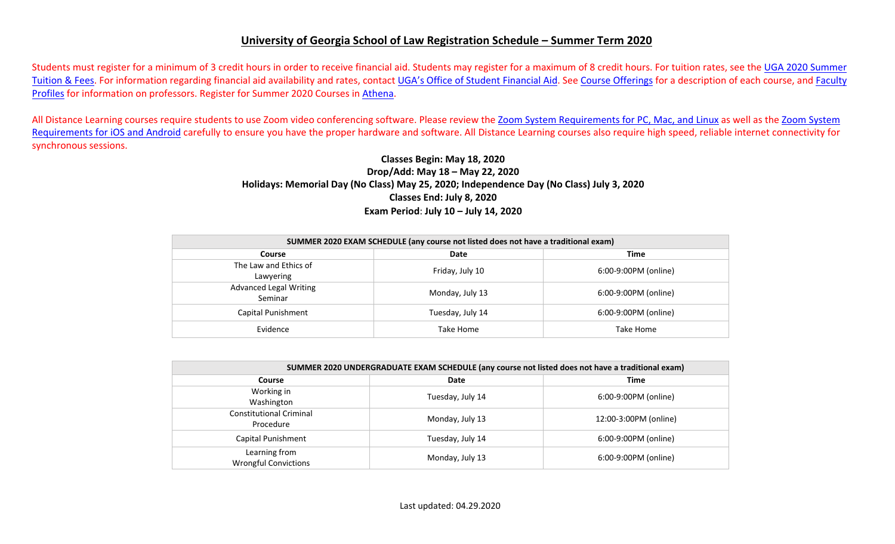## **University of Georgia School of Law Registration Schedule – Summer Term 2020**

Students must register for a minimum of 3 credit hours in order to receive financial aid. Students may register for a maximum of 8 credit hours. For tuition rates, see the [UGA 2020](https://busfin.uga.edu/bursar/bursar_tuition_sum_1920/) Summer [Tuition & Fees.](https://busfin.uga.edu/bursar/bursar_tuition_sum_1920/) For information regarding financial aid availability and rates, contact [UGA's Office of Student Financial Aid.](https://osfa.uga.edu/) See [Course Offerings](http://www.law.uga.edu/course-offerings) for a description of each course, and [Faculty](http://www.law.uga.edu/faculty-profiles) [Profiles](http://www.law.uga.edu/faculty-profiles) for information on professors. Register for Summer 2020 Courses in [Athena.](http://www.athena.uga.edu/)

All Distance Learning courses require students to use Zoom video conferencing software. Please review the [Zoom System Requirements for PC, Mac, and](https://support.zoom.us/hc/en-us/articles/201362023-System-Requirements-for-PC-Mac-and-Linux) Linux as well as the [Zoom System](https://support.zoom.us/hc/en-us/articles/201179966-System-Requirements-for-iOS-and-Android) [Requirements for iOS and Android](https://support.zoom.us/hc/en-us/articles/201179966-System-Requirements-for-iOS-and-Android) carefully to ensure you have the proper hardware and software. All Distance Learning courses also require high speed, reliable internet connectivity for synchronous sessions.

## **Classes Begin: May 18, 2020 Drop/Add: May 18 – May 22, 2020 Holidays: Memorial Day (No Class) May 25, 2020; Independence Day (No Class) July 3, 2020 Classes End: July 8, 2020 Exam Period**: **July 10 – July 14, 2020**

| SUMMER 2020 EXAM SCHEDULE (any course not listed does not have a traditional exam) |                  |                      |  |  |  |  |  |  |
|------------------------------------------------------------------------------------|------------------|----------------------|--|--|--|--|--|--|
| <b>Time</b><br>Date<br>Course                                                      |                  |                      |  |  |  |  |  |  |
| The Law and Ethics of<br>Lawyering                                                 | Friday, July 10  | 6:00-9:00PM (online) |  |  |  |  |  |  |
| <b>Advanced Legal Writing</b><br>Seminar                                           | Monday, July 13  | 6:00-9:00PM (online) |  |  |  |  |  |  |
| Capital Punishment                                                                 | Tuesday, July 14 | 6:00-9:00PM (online) |  |  |  |  |  |  |
| Evidence                                                                           | Take Home        | Take Home            |  |  |  |  |  |  |

| SUMMER 2020 UNDERGRADUATE EXAM SCHEDULE (any course not listed does not have a traditional exam) |                  |                       |  |  |  |  |  |  |
|--------------------------------------------------------------------------------------------------|------------------|-----------------------|--|--|--|--|--|--|
| Course                                                                                           | Date             |                       |  |  |  |  |  |  |
| Working in<br>Washington                                                                         | Tuesday, July 14 | 6:00-9:00PM (online)  |  |  |  |  |  |  |
| <b>Constitutional Criminal</b><br>Procedure                                                      | Monday, July 13  | 12:00-3:00PM (online) |  |  |  |  |  |  |
| Capital Punishment                                                                               | Tuesday, July 14 | 6:00-9:00PM (online)  |  |  |  |  |  |  |
| Learning from<br><b>Wrongful Convictions</b>                                                     | Monday, July 13  | 6:00-9:00PM (online)  |  |  |  |  |  |  |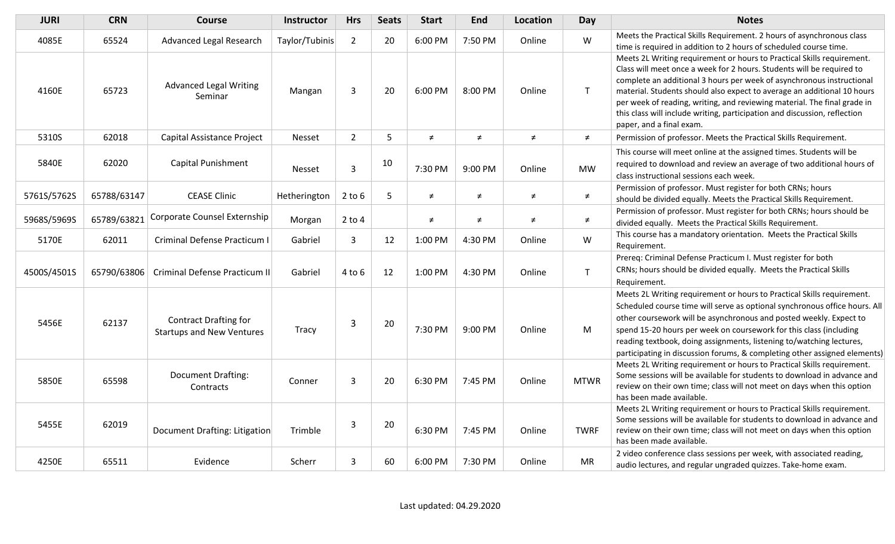| <b>JURI</b> | <b>CRN</b>  | <b>Course</b>                                                    | Instructor     | <b>Hrs</b>     | <b>Seats</b>   | <b>Start</b> | End     | Location | Day          | <b>Notes</b>                                                                                                                                                                                                                                                                                                                                                                                                                                                                             |
|-------------|-------------|------------------------------------------------------------------|----------------|----------------|----------------|--------------|---------|----------|--------------|------------------------------------------------------------------------------------------------------------------------------------------------------------------------------------------------------------------------------------------------------------------------------------------------------------------------------------------------------------------------------------------------------------------------------------------------------------------------------------------|
| 4085E       | 65524       | Advanced Legal Research                                          | Taylor/Tubinis | $\overline{2}$ | 20             | 6:00 PM      | 7:50 PM | Online   | W            | Meets the Practical Skills Requirement. 2 hours of asynchronous class<br>time is required in addition to 2 hours of scheduled course time.                                                                                                                                                                                                                                                                                                                                               |
| 4160E       | 65723       | <b>Advanced Legal Writing</b><br>Seminar                         | Mangan         | 3              | 20             | 6:00 PM      | 8:00 PM | Online   | T            | Meets 2L Writing requirement or hours to Practical Skills requirement.<br>Class will meet once a week for 2 hours. Students will be required to<br>complete an additional 3 hours per week of asynchronous instructional<br>material. Students should also expect to average an additional 10 hours<br>per week of reading, writing, and reviewing material. The final grade in<br>this class will include writing, participation and discussion, reflection<br>paper, and a final exam. |
| 5310S       | 62018       | Capital Assistance Project                                       | <b>Nesset</b>  | $\overline{2}$ | 5              | $\neq$       | $\neq$  | $\neq$   | $\neq$       | Permission of professor. Meets the Practical Skills Requirement.                                                                                                                                                                                                                                                                                                                                                                                                                         |
| 5840E       | 62020       | Capital Punishment                                               | <b>Nesset</b>  | $\overline{3}$ | 10             | 7:30 PM      | 9:00 PM | Online   | <b>MW</b>    | This course will meet online at the assigned times. Students will be<br>required to download and review an average of two additional hours of<br>class instructional sessions each week.                                                                                                                                                                                                                                                                                                 |
| 5761S/5762S | 65788/63147 | <b>CEASE Clinic</b>                                              | Hetherington   | $2$ to $6$     | $5\phantom{.}$ | $\neq$       | $\neq$  | $\neq$   | ≠            | Permission of professor. Must register for both CRNs; hours<br>should be divided equally. Meets the Practical Skills Requirement.                                                                                                                                                                                                                                                                                                                                                        |
| 5968S/5969S | 65789/63821 | Corporate Counsel Externship                                     | Morgan         | $2$ to $4$     |                | $\neq$       | $\neq$  | $\neq$   | $\neq$       | Permission of professor. Must register for both CRNs; hours should be<br>divided equally. Meets the Practical Skills Requirement.                                                                                                                                                                                                                                                                                                                                                        |
| 5170E       | 62011       | Criminal Defense Practicum I                                     | Gabriel        | $\mathbf{3}$   | 12             | 1:00 PM      | 4:30 PM | Online   | W            | This course has a mandatory orientation. Meets the Practical Skills<br>Requirement.                                                                                                                                                                                                                                                                                                                                                                                                      |
| 4500S/4501S | 65790/63806 | Criminal Defense Practicum II                                    | Gabriel        | $4$ to $6$     | 12             | 1:00 PM      | 4:30 PM | Online   | $\mathsf{T}$ | Prereq: Criminal Defense Practicum I. Must register for both<br>CRNs; hours should be divided equally. Meets the Practical Skills<br>Requirement.                                                                                                                                                                                                                                                                                                                                        |
| 5456E       | 62137       | <b>Contract Drafting for</b><br><b>Startups and New Ventures</b> | Tracy          | 3              | 20             | 7:30 PM      | 9:00 PM | Online   | M            | Meets 2L Writing requirement or hours to Practical Skills requirement.<br>Scheduled course time will serve as optional synchronous office hours. All<br>other coursework will be asynchronous and posted weekly. Expect to<br>spend 15-20 hours per week on coursework for this class (including<br>reading textbook, doing assignments, listening to/watching lectures,<br>participating in discussion forums, & completing other assigned elements)                                    |
| 5850E       | 65598       | <b>Document Drafting:</b><br>Contracts                           | Conner         | 3              | 20             | 6:30 PM      | 7:45 PM | Online   | <b>MTWR</b>  | Meets 2L Writing requirement or hours to Practical Skills requirement.<br>Some sessions will be available for students to download in advance and<br>review on their own time; class will not meet on days when this option<br>has been made available.                                                                                                                                                                                                                                  |
| 5455E       | 62019       | <b>Document Drafting: Litigation</b>                             | Trimble        | $\overline{3}$ | 20             | 6:30 PM      | 7:45 PM | Online   | <b>TWRF</b>  | Meets 2L Writing requirement or hours to Practical Skills requirement.<br>Some sessions will be available for students to download in advance and<br>review on their own time; class will not meet on days when this option<br>has been made available.                                                                                                                                                                                                                                  |
| 4250E       | 65511       | Evidence                                                         | Scherr         | 3              | 60             | 6:00 PM      | 7:30 PM | Online   | <b>MR</b>    | 2 video conference class sessions per week, with associated reading,<br>audio lectures, and regular ungraded quizzes. Take-home exam.                                                                                                                                                                                                                                                                                                                                                    |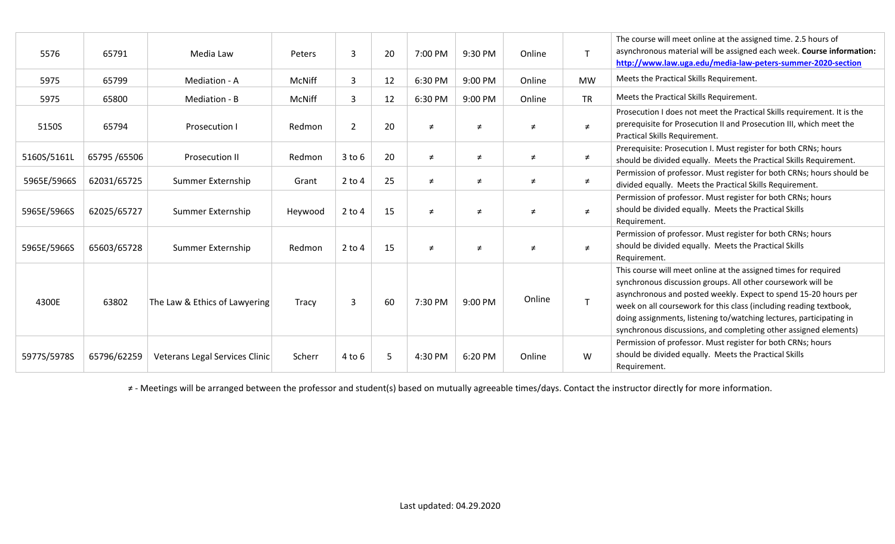| 5576        | 65791         | Media Law                      | Peters        | 3              | 20 | 7:00 PM | 9:30 PM | Online | $\mathsf{T}$ | The course will meet online at the assigned time. 2.5 hours of<br>asynchronous material will be assigned each week. Course information:<br>http://www.law.uga.edu/media-law-peters-summer-2020-section                                                                                                                                                                                                             |
|-------------|---------------|--------------------------------|---------------|----------------|----|---------|---------|--------|--------------|--------------------------------------------------------------------------------------------------------------------------------------------------------------------------------------------------------------------------------------------------------------------------------------------------------------------------------------------------------------------------------------------------------------------|
| 5975        | 65799         | Mediation - A                  | McNiff        | 3              | 12 | 6:30 PM | 9:00 PM | Online | <b>MW</b>    | Meets the Practical Skills Requirement.                                                                                                                                                                                                                                                                                                                                                                            |
| 5975        | 65800         | Mediation - B                  | <b>McNiff</b> | 3              | 12 | 6:30 PM | 9:00 PM | Online | <b>TR</b>    | Meets the Practical Skills Requirement.                                                                                                                                                                                                                                                                                                                                                                            |
| 5150S       | 65794         | Prosecution I                  | Redmon        | $\overline{2}$ | 20 | $\neq$  | $\neq$  | $\neq$ | $\neq$       | Prosecution I does not meet the Practical Skills requirement. It is the<br>prerequisite for Prosecution II and Prosecution III, which meet the<br>Practical Skills Requirement.                                                                                                                                                                                                                                    |
| 5160S/5161L | 65795 / 65506 | <b>Prosecution II</b>          | Redmon        | $3$ to $6$     | 20 | $\neq$  | $\neq$  | $\neq$ | $\neq$       | Prerequisite: Prosecution I. Must register for both CRNs; hours<br>should be divided equally. Meets the Practical Skills Requirement.                                                                                                                                                                                                                                                                              |
| 5965E/5966S | 62031/65725   | Summer Externship              | Grant         | $2$ to 4       | 25 | $\neq$  | $\neq$  | ≠      | $\neq$       | Permission of professor. Must register for both CRNs; hours should be<br>divided equally. Meets the Practical Skills Requirement.                                                                                                                                                                                                                                                                                  |
| 5965E/5966S | 62025/65727   | Summer Externship              | Heywood       | $2$ to $4$     | 15 | $\neq$  | $\neq$  | $\neq$ | $\neq$       | Permission of professor. Must register for both CRNs; hours<br>should be divided equally. Meets the Practical Skills<br>Requirement.                                                                                                                                                                                                                                                                               |
| 5965E/5966S | 65603/65728   | Summer Externship              | Redmon        | $2$ to 4       | 15 | $\neq$  | $\neq$  | $\neq$ | $\neq$       | Permission of professor. Must register for both CRNs; hours<br>should be divided equally. Meets the Practical Skills<br>Requirement.                                                                                                                                                                                                                                                                               |
| 4300E       | 63802         | The Law & Ethics of Lawyering  | Tracy         | $\overline{3}$ | 60 | 7:30 PM | 9:00 PM | Online | $\mathsf T$  | This course will meet online at the assigned times for required<br>synchronous discussion groups. All other coursework will be<br>asynchronous and posted weekly. Expect to spend 15-20 hours per<br>week on all coursework for this class (including reading textbook,<br>doing assignments, listening to/watching lectures, participating in<br>synchronous discussions, and completing other assigned elements) |
| 5977S/5978S | 65796/62259   | Veterans Legal Services Clinic | Scherr        | $4$ to $6$     | 5  | 4:30 PM | 6:20 PM | Online | W            | Permission of professor. Must register for both CRNs; hours<br>should be divided equally. Meets the Practical Skills<br>Requirement.                                                                                                                                                                                                                                                                               |

≠ - Meetings will be arranged between the professor and student(s) based on mutually agreeable times/days. Contact the instructor directly for more information.